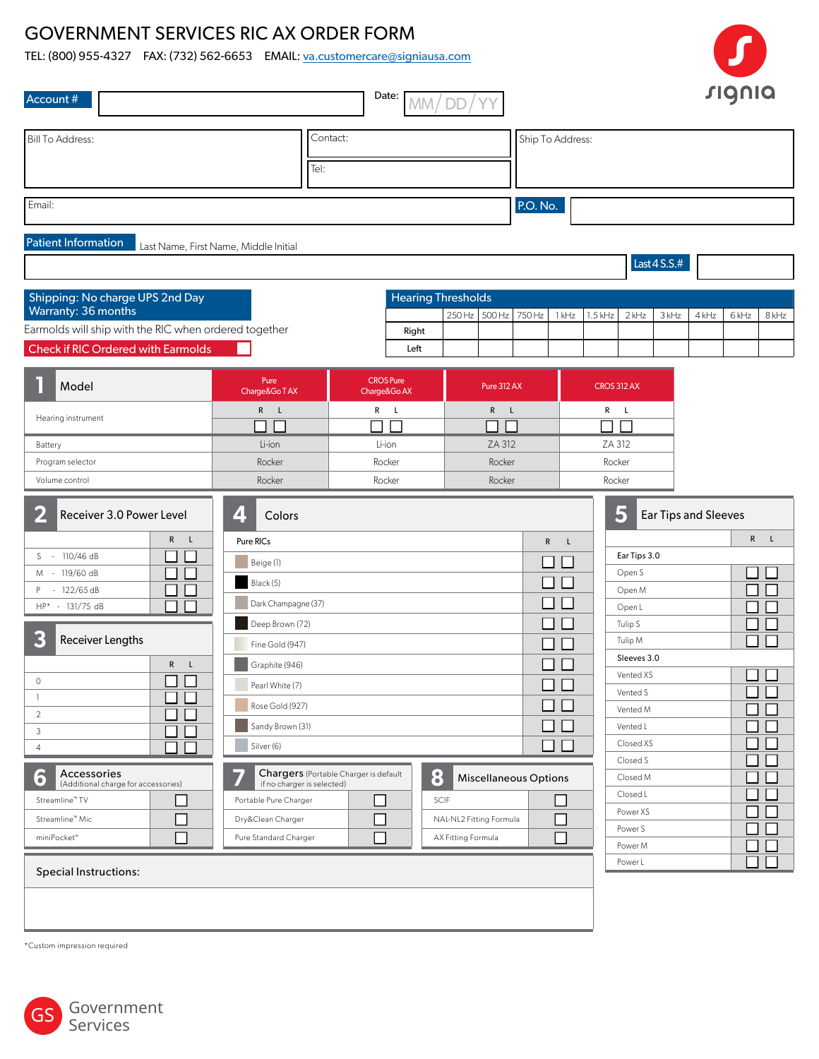## GOVERNMENT SERVICES RIC AX ORDER FORM

TEL: (800) 955-4327 FAX: (732) 562-6653 EMAIL: va.customercare@signiausa.com

| Account #                                                                                          |                                                     | Date:                                 | <b>DD</b><br>MM/          |                              |                   |                              |                         |                      |                             |       | <b>SIQNIQ</b> |       |
|----------------------------------------------------------------------------------------------------|-----------------------------------------------------|---------------------------------------|---------------------------|------------------------------|-------------------|------------------------------|-------------------------|----------------------|-----------------------------|-------|---------------|-------|
| <b>Bill To Address:</b>                                                                            | Contact:<br>Tel:                                    |                                       |                           |                              |                   | Ship To Address:             |                         |                      |                             |       |               |       |
| Email:                                                                                             |                                                     |                                       |                           |                              | P.O. No.          |                              |                         |                      |                             |       |               |       |
| <b>Patient Information</b>                                                                         | Last Name, First Name, Middle Initial               |                                       |                           |                              |                   |                              |                         |                      | Last $4$ S.S.#              |       |               |       |
| Shipping: No charge UPS 2nd Day                                                                    |                                                     |                                       | <b>Hearing Thresholds</b> |                              |                   |                              |                         |                      |                             |       |               |       |
| Warranty: 36 months                                                                                |                                                     |                                       |                           | 250 Hz 500 Hz                | 750 Hz            | 1 kHz                        | $1.5$ kHz               | $2$ kHz              | 3 kHz                       | 4 kHz | 6 kHz         | 8 kHz |
| Earmolds will ship with the RIC when ordered together<br><b>Check if RIC Ordered with Earmolds</b> |                                                     |                                       | Right<br>Left             |                              |                   |                              |                         |                      |                             |       |               |       |
|                                                                                                    |                                                     |                                       |                           |                              |                   |                              |                         |                      |                             |       |               |       |
| Model                                                                                              | Pure<br>Charge&Go TAX                               | <b>CROS Pure</b><br>Charge&Go AX      |                           | Pure 312 AX                  |                   |                              | <b>CROS 312 AX</b>      |                      |                             |       |               |       |
| Hearing instrument                                                                                 | $R$ L                                               | $R$ L                                 |                           | $R$ $L$                      |                   |                              | $R$ L                   |                      |                             |       |               |       |
| Battery                                                                                            | ┑┍<br>Li-ion                                        | $\Box$ $\Box$<br>Li-ion               |                           | $\Box$ $\Box$<br>ZA 312      |                   |                              | $\Box$ $\Box$<br>ZA 312 |                      |                             |       |               |       |
| Program selector                                                                                   | Rocker                                              | Rocker                                |                           | Rocker                       |                   |                              | Rocker                  |                      |                             |       |               |       |
| Volume control                                                                                     | Rocker                                              | Rocker                                |                           | Rocker                       |                   |                              | Rocker                  |                      |                             |       |               |       |
| 2<br>Receiver 3.0 Power Level                                                                      | 4<br>Colors                                         |                                       |                           |                              |                   |                              |                         | 5                    | <b>Ear Tips and Sleeves</b> |       |               |       |
| $\mathsf{R}$<br>- L<br>S - 110/46 dB                                                               | Pure RICs                                           |                                       |                           |                              |                   | $\mathsf{R}$<br>$\mathsf{L}$ |                         | Ear Tips 3.0         |                             |       | R             | L     |
| M - 119/60 dB                                                                                      | Beige (1)                                           |                                       |                           |                              |                   | ⊔∟                           |                         | Open S               |                             |       | $\Box$        |       |
| $-122/65 dB$<br>P<br>$\mathcal{L}$                                                                 | Black (5)                                           |                                       |                           |                              | $\perp$           |                              |                         | Open M               |                             |       | $\Box$        |       |
| HP* - 131/75 dB                                                                                    | Dark Champagne (37)                                 |                                       |                           |                              |                   | $\perp$                      |                         | Open L               |                             |       | $\Box$        |       |
| 3<br>Receiver Lengths                                                                              | Deep Brown (72)                                     |                                       |                           |                              | $\vert \ \ \vert$ |                              |                         | Tulip S<br>Tulip M   |                             |       | П             |       |
| R<br>$\mathsf{L}$                                                                                  | Fine Gold (947)<br>Graphite (946)                   |                                       |                           |                              |                   | H                            |                         | Sleeves 3.0          |                             |       |               |       |
| $\Box$<br>$\circ$                                                                                  | Pearl White (7)                                     |                                       |                           |                              |                   | □□                           |                         | Vented XS            |                             |       | ┒             |       |
| -1                                                                                                 | Rose Gold (927)                                     |                                       |                           |                              |                   | □                            |                         | Vented S             |                             |       | - 1           |       |
| $\overline{2}$                                                                                     | Sandy Brown (31)                                    |                                       |                           |                              |                   | $\square$ $\square$          |                         | Vented M<br>Vented L |                             |       | $\sim$<br>- 1 |       |
| 3<br>$\overline{4}$                                                                                | Silver (6)                                          |                                       |                           |                              |                   | $\square$ $\square$          |                         | Closed XS            |                             |       | - 1           |       |
| Accessories<br>6                                                                                   |                                                     | Chargers (Portable Charger is default | 8                         | <b>Miscellaneous Options</b> |                   |                              |                         | Closed S<br>Closed M |                             |       | $\sim$        |       |
| (Additional charge for accessories)<br>Streamline <sup>™</sup> TV<br>$\sim$                        | if no charger is selected)<br>Portable Pure Charger | $\Box$                                | SCIF                      |                              |                   |                              |                         | Closed L             |                             |       |               |       |
| Streamline™ Mic                                                                                    | Dry&Clean Charger                                   | └                                     | NAL-NL2 Fitting Formula   |                              |                   | H                            |                         | Power XS             |                             |       |               |       |
| miniPocket™                                                                                        | Pure Standard Charger                               | $\Box$                                | AX Fitting Formula        |                              |                   | $\Box$                       |                         | Power S              |                             |       |               |       |
|                                                                                                    |                                                     |                                       |                           |                              |                   |                              |                         | Power M<br>Power L   |                             |       | - 1           |       |
| <b>Special Instructions:</b>                                                                       |                                                     |                                       |                           |                              |                   |                              |                         |                      |                             |       |               |       |
|                                                                                                    |                                                     |                                       |                           |                              |                   |                              |                         |                      |                             |       |               |       |

\*Custom impression required